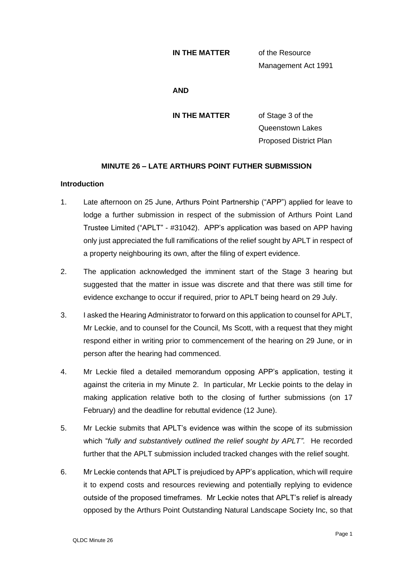### **IN THE MATTER** of the Resource

Management Act 1991

### **AND**

**IN THE MATTER** of Stage 3 of the Queenstown Lakes Proposed District Plan

## **MINUTE 26 – LATE ARTHURS POINT FUTHER SUBMISSION**

### **Introduction**

- 1. Late afternoon on 25 June, Arthurs Point Partnership ("APP") applied for leave to lodge a further submission in respect of the submission of Arthurs Point Land Trustee Limited ("APLT" - #31042). APP's application was based on APP having only just appreciated the full ramifications of the relief sought by APLT in respect of a property neighbouring its own, after the filing of expert evidence.
- 2. The application acknowledged the imminent start of the Stage 3 hearing but suggested that the matter in issue was discrete and that there was still time for evidence exchange to occur if required, prior to APLT being heard on 29 July.
- 3. I asked the Hearing Administrator to forward on this application to counsel for APLT, Mr Leckie, and to counsel for the Council, Ms Scott, with a request that they might respond either in writing prior to commencement of the hearing on 29 June, or in person after the hearing had commenced.
- 4. Mr Leckie filed a detailed memorandum opposing APP's application, testing it against the criteria in my Minute 2. In particular, Mr Leckie points to the delay in making application relative both to the closing of further submissions (on 17 February) and the deadline for rebuttal evidence (12 June).
- 5. Mr Leckie submits that APLT's evidence was within the scope of its submission which "*fully and substantively outlined the relief sought by APLT".* He recorded further that the APLT submission included tracked changes with the relief sought.
- 6. Mr Leckie contends that APLT is prejudiced by APP's application, which will require it to expend costs and resources reviewing and potentially replying to evidence outside of the proposed timeframes. Mr Leckie notes that APLT's relief is already opposed by the Arthurs Point Outstanding Natural Landscape Society Inc, so that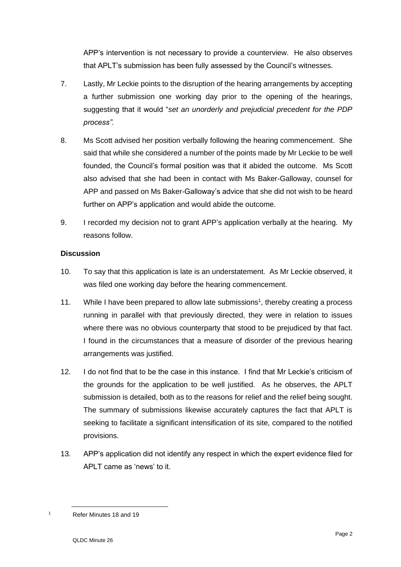APP's intervention is not necessary to provide a counterview. He also observes that APLT's submission has been fully assessed by the Council's witnesses.

- 7. Lastly, Mr Leckie points to the disruption of the hearing arrangements by accepting a further submission one working day prior to the opening of the hearings, suggesting that it would "*set an unorderly and prejudicial precedent for the PDP process".*
- 8. Ms Scott advised her position verbally following the hearing commencement. She said that while she considered a number of the points made by Mr Leckie to be well founded, the Council's formal position was that it abided the outcome. Ms Scott also advised that she had been in contact with Ms Baker-Galloway, counsel for APP and passed on Ms Baker-Galloway's advice that she did not wish to be heard further on APP's application and would abide the outcome.
- 9. I recorded my decision not to grant APP's application verbally at the hearing. My reasons follow.

# **Discussion**

- 10. To say that this application is late is an understatement. As Mr Leckie observed, it was filed one working day before the hearing commencement.
- 11. While I have been prepared to allow late submissions<sup>1</sup>, thereby creating a process running in parallel with that previously directed, they were in relation to issues where there was no obvious counterparty that stood to be prejudiced by that fact. I found in the circumstances that a measure of disorder of the previous hearing arrangements was justified.
- 12. I do not find that to be the case in this instance. I find that Mr Leckie's criticism of the grounds for the application to be well justified. As he observes, the APLT submission is detailed, both as to the reasons for relief and the relief being sought. The summary of submissions likewise accurately captures the fact that APLT is seeking to facilitate a significant intensification of its site, compared to the notified provisions.
- 13. APP's application did not identify any respect in which the expert evidence filed for APLT came as 'news' to it.

<sup>1</sup> Refer Minutes 18 and 19